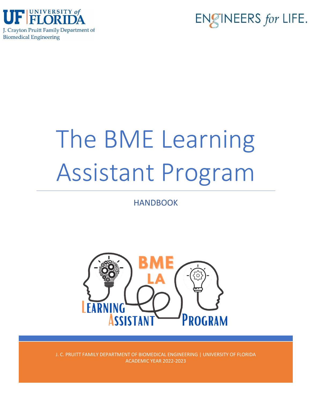



# The BME Learning Assistant Program

# HANDBOOK



J. C. PRUITT FAMILY DEPARTMENT OF BIOMEDICAL ENGINEERING | UNIVERSITY OF FLORIDA ACADEMIC YEAR 2022-2023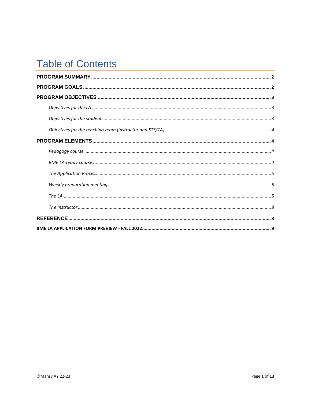# **Table of Contents**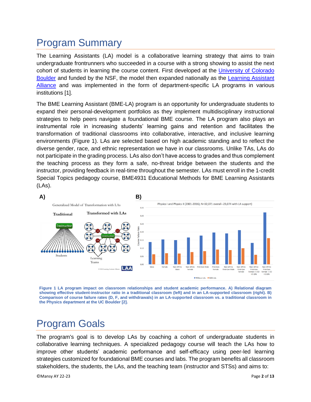# <span id="page-2-0"></span>Program Summary

The Learning Assistants (LA) model is a collaborative learning strategy that aims to train undergraduate frontrunners who succeeded in a course with a strong showing to assist the next cohort of students in learning the course content. First developed at the [University of Colorado](http://laprogram.colorado.edu/)  [Boulder](http://laprogram.colorado.edu/) and funded by the NSF, the model then expanded nationally as the Learning Assistant [Alliance](https://www.learningassistantalliance.org/) and was implemented in the form of department-specific LA programs in various institutions [1].

The BME Learning Assistant (BME-LA) program is an opportunity for undergraduate students to expand their personal-development portfolios as they implement multidisciplinary instructional strategies to help peers navigate a foundational BME course. The LA program also plays an instrumental role in increasing students' learning gains and retention and facilitates the transformation of traditional classrooms into collaborative, interactive, and inclusive learning environments (Figure 1). LAs are selected based on high academic standing and to reflect the diverse gender, race, and ethnic representation we have in our classrooms. Unlike TAs, LAs do not participate in the grading process. LAs also don't have access to grades and thus complement the teaching process as they form a safe, no-threat bridge between the students and the instructor, providing feedback in real-time throughout the semester. LAs must enroll in the 1-credit Special Topics pedagogy course, BME4931 Educational Methods for BME Learning Assistants (LAs).



**Figure 1 LA program impact on classroom relationships and student academic performance. A) Relational diagram showing effective student-instructor ratio in a traditional classroom (left) and in an LA-supported classroom (right). B) Comparison of course failure rates (D, F, and withdrawals) in an LA-supported classroom vs. a traditional classroom in the Physics department at the UC Boulder [2].** 

# <span id="page-2-1"></span>Program Goals

The program's goal is to develop LAs by coaching a cohort of undergraduate students in collaborative learning techniques. A specialized pedagogy course will teach the LAs how to improve other students' academic performance and self-efficacy using peer-led learning strategies customized for foundational BME courses and labs. The program benefits all classroom stakeholders, the students, the LAs, and the teaching team (instructor and STSs) and aims to:

©Mansy AY 22-23 Page **2** of **13**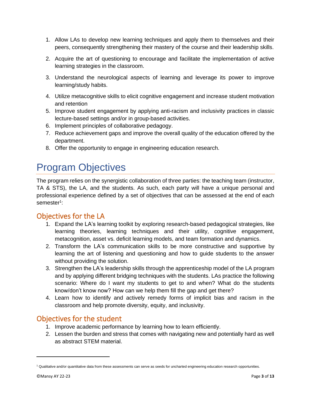- 1. Allow LAs to develop new learning techniques and apply them to themselves and their peers, consequently strengthening their mastery of the course and their leadership skills.
- 2. Acquire the art of questioning to encourage and facilitate the implementation of active learning strategies in the classroom.
- 3. Understand the neurological aspects of learning and leverage its power to improve learning/study habits.
- 4. Utilize metacognitive skills to elicit cognitive engagement and increase student motivation and retention
- 5. Improve student engagement by applying anti-racism and inclusivity practices in classic lecture-based settings and/or in group-based activities.
- 6. Implement principles of collaborative pedagogy.
- 7. Reduce achievement gaps and improve the overall quality of the education offered by the department.
- 8. Offer the opportunity to engage in engineering education research.

# <span id="page-3-0"></span>Program Objectives

The program relies on the synergistic collaboration of three parties: the teaching team (instructor, TA & STS), the LA, and the students. As such, each party will have a unique personal and professional experience defined by a set of objectives that can be assessed at the end of each semester<sup>1</sup>:

## <span id="page-3-1"></span>Objectives for the LA

- 1. Expand the LA's learning toolkit by exploring research-based pedagogical strategies, like learning theories, learning techniques and their utility, cognitive engagement, metacognition, asset vs. deficit learning models, and team formation and dynamics.
- 2. Transform the LA's communication skills to be more constructive and supportive by learning the art of listening and questioning and how to guide students to the answer without providing the solution.
- 3. Strengthen the LA's leadership skills through the apprenticeship model of the LA program and by applying different bridging techniques with the students. LAs practice the following scenario: Where do I want my students to get to and when? What do the students know/don't know now? How can we help them fill the gap and get there?
- 4. Learn how to identify and actively remedy forms of implicit bias and racism in the classroom and help promote diversity, equity, and inclusivity.

## <span id="page-3-2"></span>Objectives for the student

- 1. Improve academic performance by learning how to learn efficiently.
- 2. Lessen the burden and stress that comes with navigating new and potentially hard as well as abstract STEM material.

<sup>1</sup> Qualitative and/or quantitative data from these assessments can serve as seeds for uncharted engineering education research opportunities.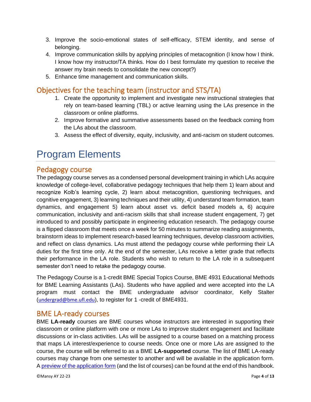- 3. Improve the socio-emotional states of self-efficacy, STEM identity, and sense of belonging.
- 4. Improve communication skills by applying principles of metacognition (I know how I think. I know how my instructor/TA thinks. How do I best formulate my question to receive the answer my brain needs to consolidate the new concept?)
- 5. Enhance time management and communication skills.

## <span id="page-4-0"></span>Objectives for the teaching team (instructor and STS/TA)

- 1. Create the opportunity to implement and investigate new instructional strategies that rely on team-based learning (TBL) or active learning using the LAs presence in the classroom or online platforms.
- 2. Improve formative and summative assessments based on the feedback coming from the LAs about the classroom.
- 3. Assess the effect of diversity, equity, inclusivity, and anti-racism on student outcomes.

# <span id="page-4-1"></span>Program Elements

### <span id="page-4-2"></span>Pedagogy course

The pedagogy course serves as a condensed personal development training in which LAs acquire knowledge of college-level, collaborative pedagogy techniques that help them 1) learn about and recognize Kolb's learning cycle, 2) learn about metacognition, questioning techniques, and cognitive engagement, 3) learning techniques and their utility, 4) understand team formation, team dynamics, and engagement 5) learn about asset vs. deficit based models a, 6) acquire communication, inclusivity and anti-racism skills that shall increase student engagement, 7) get introduced to and possibly participate in engineering education research. The pedagogy course is a flipped classroom that meets once a week for 50 minutes to summarize reading assignments, brainstorm ideas to implement research-based learning techniques, develop classroom activities, and reflect on class dynamics. LAs must attend the pedagogy course while performing their LA duties for the first time only. At the end of the semester, LAs receive a letter grade that reflects their performance in the LA role. Students who wish to return to the LA role in a subsequent semester don't need to retake the pedagogy course.

The Pedagogy Course is a 1-credit BME Special Topics Course, BME 4931 Educational Methods for BME Learning Assistants (LAs). Students who have applied and were accepted into the LA program must contact the BME undergraduate advisor coordinator, Kelly Stalter ([undergrad@bme.ufl.edu](mailto:undergrad@bme.ufl.edu)), to register for 1 -credit of BME4931.

#### <span id="page-4-3"></span>BME LA-ready courses

BME **LA-ready** courses are BME courses whose instructors are interested in supporting their classroom or online platform with one or more LAs to improve student engagement and facilitate discussions or in-class activities. LAs will be assigned to a course based on a matching process that maps LA interest/experience to course needs. Once one or more LAs are assigned to the course, the course will be referred to as a BME **LA-supported** course. The list of BME LA-ready courses may change from one semester to another and will be available in the application form. [A preview of the application form](#page-9-0) (and the list of courses) can be found at the end of this handbook.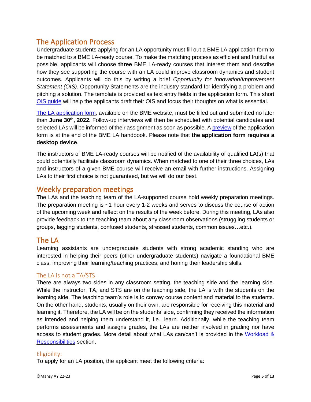## <span id="page-5-0"></span>The Application Process

Undergraduate students applying for an LA opportunity must fill out a BME LA application form to be matched to a BME LA-ready course. To make the matching process as efficient and fruitful as possible, applicants will choose **three** BME LA-ready courses that interest them and describe how they see supporting the course with an LA could improve classroom dynamics and student outcomes. Applicants will do this by writing a brief *Opportunity for Innovation/Improvement Statement (OIS)*. Opportunity Statements are the industry standard for identifying a problem and pitching a solution. The template is provided as text entry fields in the application form. This short [OIS guide](https://tinyurl.com/53sjewre) will help the applicants draft their OIS and focus their thoughts on what is essential.

[The LA application form,](https://ufl.qualtrics.com/jfe/form/SV_1G4kHk940f8mw2W) available on the BME website, must be filled out and submitted no later than **June 30th, 2022.** Follow-up interviews will then be scheduled with potential candidates and selected LAs will be informed of their assignment as soon as possible. A [preview](#page-9-0) of the application form is at the end of the BME LA handbook. Please note that **the application form requires a desktop device**.

The instructors of BME LA-ready courses will be notified of the availability of qualified LA(s) that could potentially facilitate classroom dynamics. When matched to one of their three choices, LAs and instructors of a given BME course will receive an email with further instructions. Assigning LAs to their first choice is not guaranteed, but we will do our best.

## <span id="page-5-1"></span>Weekly preparation meetings

The LAs and the teaching team of the LA-supported course hold weekly preparation meetings. The preparation meeting is ~1 hour every 1-2 weeks and serves to discuss the course of action of the upcoming week and reflect on the results of the week before. During this meeting, LAs also provide feedback to the teaching team about any classroom observations (struggling students or groups, lagging students, confused students, stressed students, common issues…etc.).

## <span id="page-5-2"></span>The LA

Learning assistants are undergraduate students with strong academic standing who are interested in helping their peers (other undergraduate students) navigate a foundational BME class, improving their learning/teaching practices, and honing their leadership skills.

#### <span id="page-5-3"></span>The LA is not a TA/STS

There are always two sides in any classroom setting, the teaching side and the learning side. While the instructor, TA, and STS are on the teaching side, the LA is with the students on the learning side. The teaching team's role is to convey course content and material to the students. On the other hand, students, usually on their own, are responsible for receiving this material and learning it. Therefore, the LA will be on the students' side, confirming they received the information as intended and helping them understand it, i.e., learn. Additionally, while the teaching team performs assessments and assigns grades, the LAs are neither involved in grading nor have access to student grades. More detail about what LAs can/can't is provided in the Workload & [Responsibilities](#page-6-0) section.

#### Eligibility:

To apply for an LA position, the applicant meet the following criteria: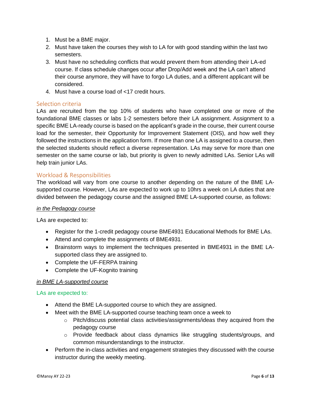- 1. Must be a BME major.
- 2. Must have taken the courses they wish to LA for with good standing within the last two semesters.
- 3. Must have no scheduling conflicts that would prevent them from attending their LA-ed course. If class schedule changes occur after Drop/Add week and the LA can't attend their course anymore, they will have to forgo LA duties, and a different applicant will be considered.
- 4. Must have a course load of <17 credit hours.

#### Selection criteria

LAs are recruited from the top 10% of students who have completed one or more of the foundational BME classes or labs 1-2 semesters before their LA assignment. Assignment to a specific BME LA-ready course is based on the applicant's grade in the course, their current course load for the semester, their Opportunity for Improvement Statement (OIS), and how well they followed the instructions in the application form. If more than one LA is assigned to a course, then the selected students should reflect a diverse representation. LAs may serve for more than one semester on the same course or lab, but priority is given to newly admitted LAs. Senior LAs will help train junior LAs.

#### <span id="page-6-0"></span>Workload & Responsibilities

The workload will vary from one course to another depending on the nature of the BME LAsupported course. However, LAs are expected to work up to 10hrs a week on LA duties that are divided between the pedagogy course and the assigned BME LA-supported course, as follows:

#### *in the Pedagogy course*

LAs are expected to:

- Register for the 1-credit pedagogy course BME4931 Educational Methods for BME LAs.
- Attend and complete the assignments of BME4931.
- Brainstorm ways to implement the techniques presented in BME4931 in the BME LAsupported class they are assigned to.
- Complete the UF-FERPA training
- Complete the UF-Kognito training

#### *in BME LA-supported course*

#### LAs are expected to:

- Attend the BME LA-supported course to which they are assigned.
- Meet with the BME LA-supported course teaching team once a week to
	- $\circ$  Pitch/discuss potential class activities/assignments/ideas they acquired from the pedagogy course
	- o Provide feedback about class dynamics like struggling students/groups, and common misunderstandings to the instructor.
- Perform the in-class activities and engagement strategies they discussed with the course instructor during the weekly meeting.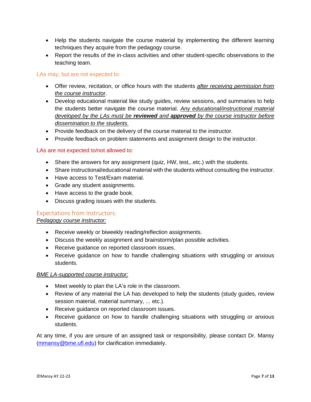- Help the students navigate the course material by implementing the different learning techniques they acquire from the pedagogy course.
- Report the results of the in-class activities and other student-specific observations to the teaching team.

#### LAs may, but are not expected to:

- Offer review, recitation, or office hours with the students *after receiving permission from the course instructor*.
- Develop educational material like study guides, review sessions, and summaries to help the students better navigate the course material. *Any educational/instructional material developed by the LAs must be reviewed and approved by the course instructor before dissemination to the students.*
- Provide feedback on the delivery of the course material to the instructor.
- Provide feedback on problem statements and assignment design to the instructor.

#### LAs are not expected to/not allowed to:

- Share the answers for any assignment (quiz, HW, test,..etc.) with the students.
- Share instructional/educational material with the students without consulting the instructor.
- Have access to Test/Exam material.
- Grade any student assignments.
- Have access to the grade book.
- Discuss grading issues with the students.

#### Expectations from Instructors:

#### *Pedagogy course instructor:*

- Receive weekly or biweekly reading/reflection assignments.
- Discuss the weekly assignment and brainstorm/plan possible activities.
- Receive guidance on reported classroom issues.
- Receive guidance on how to handle challenging situations with struggling or anxious students.

#### *BME LA-supported course instructor:*

- Meet weekly to plan the LA's role in the classroom.
- Review of any material the LA has developed to help the students (study guides, review session material, material summary, ... etc.).
- Receive guidance on reported classroom issues.
- Receive guidance on how to handle challenging situations with struggling or anxious students.

At any time, if you are unsure of an assigned task or responsibility, please contact Dr. Mansy [\(mmansy@bme.ufl.edu\)](mailto:mmansy@bme.ufl.edu) for clarification immediately.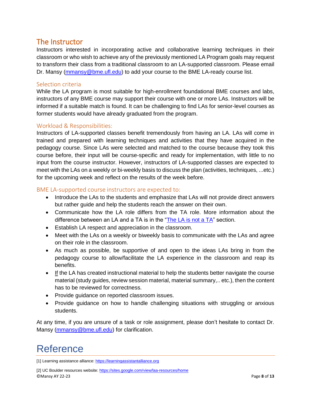## <span id="page-8-0"></span>The Instructor

Instructors interested in incorporating active and collaborative learning techniques in their classroom or who wish to achieve any of the previously mentioned LA Program goals may request to transform their class from a traditional classroom to an LA-supported classroom. Please email Dr. Mansy [\(mmansy@bme.ufl.edu\)](mailto:mmansy@bme.ufl.edu) to add your course to the BME LA-ready course list.

#### Selection criteria

While the LA program is most suitable for high-enrollment foundational BME courses and labs, instructors of any BME course may support their course with one or more LAs. Instructors will be informed if a suitable match is found. It can be challenging to find LAs for senior-level courses as former students would have already graduated from the program.

#### Workload & Responsibilities:

Instructors of LA-supported classes benefit tremendously from having an LA. LAs will come in trained and prepared with learning techniques and activities that they have acquired in the pedagogy course. Since LAs were selected and matched to the course because they took this course before, their input will be course-specific and ready for implementation, with little to no input from the course instructor. However, instructors of LA-supported classes are expected to meet with the LAs on a weekly or bi-weekly basis to discuss the plan (activities, techniques, ...etc.) for the upcoming week and reflect on the results of the week before.

#### BME LA-supported course instructors are expected to:

- Introduce the LAs to the students and emphasize that LAs will not provide direct answers but rather guide and help the students reach the answer on their own.
- Communicate how the LA role differs from the TA role. More information about the difference between an LA and a TA is in the ["The LA is not a TA"](#page-5-3) section.
- Establish LA respect and appreciation in the classroom.
- Meet with the LAs on a weekly or biweekly basis to communicate with the LAs and agree on their role in the classroom.
- As much as possible, be supportive of and open to the ideas LAs bring in from the pedagogy course to allow/facilitate the LA experience in the classroom and reap its benefits.
- If the LA has created instructional material to help the students better navigate the course material (study guides, review session material, material summary,.. etc.), then the content has to be reviewed for correctness.
- Provide guidance on reported classroom issues.
- Provide guidance on how to handle challenging situations with struggling or anxious students.

At any time, if you are unsure of a task or role assignment, please don't hesitate to contact Dr. Mansy [\(mmansy@bme.ufl.edu\)](mailto:mmansy@bme.ufl.edu) for clarification.

# <span id="page-8-1"></span>Reference

[1] Learning assistance alliance: [https://learningassistantalliance.org](https://learningassistantalliance.org/)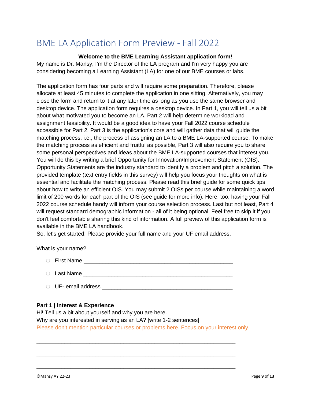# <span id="page-9-0"></span>BME LA Application Form Preview - Fall 2022

#### **Welcome to the BME Learning Assistant application form!**

My name is Dr. Mansy, I'm the Director of the LA program and I'm very happy you are considering becoming a Learning Assistant (LA) for one of our BME courses or labs.

The application form has four parts and will require some preparation. Therefore, please allocate at least 45 minutes to complete the application in one sitting. Alternatively, you may close the form and return to it at any later time as long as you use the same browser and desktop device. The application form requires a desktop device. In Part 1, you will tell us a bit about what motivated you to become an LA. Part 2 will help determine workload and assignment feasibility. It would be a good idea to have your Fall 2022 course schedule accessible for Part 2. Part 3 is the application's core and will gather data that will guide the matching process, i.e., the process of assigning an LA to a BME LA-supported course. To make the matching process as efficient and fruitful as possible, Part 3 will also require you to share some personal perspectives and ideas about the BME LA-supported courses that interest you. You will do this by writing a brief Opportunity for Innovation/Improvement Statement (OIS). Opportunity Statements are the industry standard to identify a problem and pitch a solution. The provided template (text entry fields in this survey) will help you focus your thoughts on what is essential and facilitate the matching process. Please read this brief guide for some quick tips about how to write an efficient OIS. You may submit 2 OISs per course while maintaining a word limit of 200 words for each part of the OIS (see guide for more info). Here, too, having your Fall 2022 course schedule handy will inform your course selection process. Last but not least, Part 4 will request standard demographic information - all of it being optional. Feel free to skip it if you don't feel comfortable sharing this kind of information. A full preview of this application form is available in the BME LA handbook.

So, let's get started! Please provide your full name and your UF email address.

What is your name?

- $\circ$  First Name  $\circ$
- o Last Name \_\_\_\_\_\_\_\_\_\_\_\_\_\_\_\_\_\_\_\_\_\_\_\_\_\_\_\_\_\_\_\_\_\_\_\_\_\_\_\_\_\_\_\_\_\_\_\_
- o UF- email address \_\_\_\_\_\_\_\_\_\_\_\_\_\_\_\_\_\_\_\_\_\_\_\_\_\_\_\_\_\_\_\_\_\_\_\_\_\_\_\_\_\_

#### **Part 1 | Interest & Experience**

Hi! Tell us a bit about yourself and why you are here. Why are you interested in serving as an LA? [write 1-2 sentences] Please don't mention particular courses or problems here. Focus on your interest only.

\_\_\_\_\_\_\_\_\_\_\_\_\_\_\_\_\_\_\_\_\_\_\_\_\_\_\_\_\_\_\_\_\_\_\_\_\_\_\_\_\_\_\_\_\_\_\_\_\_\_\_\_\_\_\_\_\_\_\_\_\_\_\_\_

\_\_\_\_\_\_\_\_\_\_\_\_\_\_\_\_\_\_\_\_\_\_\_\_\_\_\_\_\_\_\_\_\_\_\_\_\_\_\_\_\_\_\_\_\_\_\_\_\_\_\_\_\_\_\_\_\_\_\_\_\_\_\_\_

\_\_\_\_\_\_\_\_\_\_\_\_\_\_\_\_\_\_\_\_\_\_\_\_\_\_\_\_\_\_\_\_\_\_\_\_\_\_\_\_\_\_\_\_\_\_\_\_\_\_\_\_\_\_\_\_\_\_\_\_\_\_\_\_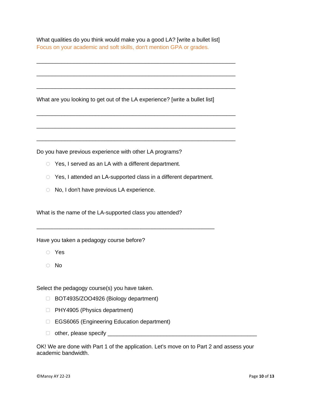What qualities do you think would make you a good LA? [write a bullet list] Focus on your academic and soft skills, don't mention GPA or grades.

\_\_\_\_\_\_\_\_\_\_\_\_\_\_\_\_\_\_\_\_\_\_\_\_\_\_\_\_\_\_\_\_\_\_\_\_\_\_\_\_\_\_\_\_\_\_\_\_\_\_\_\_\_\_\_\_\_\_\_\_\_\_\_\_

\_\_\_\_\_\_\_\_\_\_\_\_\_\_\_\_\_\_\_\_\_\_\_\_\_\_\_\_\_\_\_\_\_\_\_\_\_\_\_\_\_\_\_\_\_\_\_\_\_\_\_\_\_\_\_\_\_\_\_\_\_\_\_\_

\_\_\_\_\_\_\_\_\_\_\_\_\_\_\_\_\_\_\_\_\_\_\_\_\_\_\_\_\_\_\_\_\_\_\_\_\_\_\_\_\_\_\_\_\_\_\_\_\_\_\_\_\_\_\_\_\_\_\_\_\_\_\_\_

\_\_\_\_\_\_\_\_\_\_\_\_\_\_\_\_\_\_\_\_\_\_\_\_\_\_\_\_\_\_\_\_\_\_\_\_\_\_\_\_\_\_\_\_\_\_\_\_\_\_\_\_\_\_\_\_\_\_\_\_\_\_\_\_

\_\_\_\_\_\_\_\_\_\_\_\_\_\_\_\_\_\_\_\_\_\_\_\_\_\_\_\_\_\_\_\_\_\_\_\_\_\_\_\_\_\_\_\_\_\_\_\_\_\_\_\_\_\_\_\_\_\_\_\_\_\_\_\_

\_\_\_\_\_\_\_\_\_\_\_\_\_\_\_\_\_\_\_\_\_\_\_\_\_\_\_\_\_\_\_\_\_\_\_\_\_\_\_\_\_\_\_\_\_\_\_\_\_\_\_\_\_\_\_\_\_\_\_\_\_\_\_\_

What are you looking to get out of the LA experience? [write a bullet list]

Do you have previous experience with other LA programs?

- o Yes, I served as an LA with a different department.
- o Yes, I attended an LA-supported class in a different department.

\_\_\_\_\_\_\_\_\_\_\_\_\_\_\_\_\_\_\_\_\_\_\_\_\_\_\_\_\_\_\_\_\_\_\_\_\_\_\_\_\_\_\_\_\_\_\_\_\_\_\_\_\_\_\_\_\_\_\_\_\_\_\_\_

o No, I don't have previous LA experience.

What is the name of the LA-supported class you attended?

Have you taken a pedagogy course before?

- o Yes
- o No

Select the pedagogy course(s) you have taken.

- ▢ BOT4935/ZOO4926 (Biology department)
- ▢ PHY4905 (Physics department)
- ▢ EGS6065 (Engineering Education department)
- $\Box$  other, please specify  $\Box$

OK! We are done with Part 1 of the application. Let's move on to Part 2 and assess your academic bandwidth.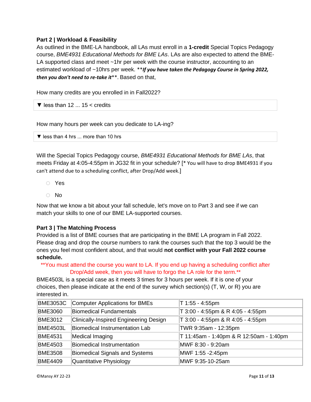#### **Part 2 | Workload & Feasibility**

As outlined in the BME-LA handbook, all LAs must enroll in a **1-credit** Special Topics Pedagogy course, *BME4931 Educational Methods for BME LAs*. LAs are also expected to attend the BME-LA supported class and meet ~1hr per week with the course instructor, accounting to an estimated workload of ~10hrs per week. \*\**If you have taken the Pedagogy Course in Spring 2022, then you don't need to re-take it*\*\*. Based on that,

How many credits are you enrolled in in Fall2022?

 $\blacktriangledown$  less than 12  $\ldots$  15  $\lt$  credits

How many hours per week can you dedicate to LA-ing?

▼ less than 4 hrs ... more than 10 hrs

Will the Special Topics Pedagogy course, *BME4931 Educational Methods for BME LAs*, that meets Friday at 4:05-4:55pm in JG32 fit in your schedule? [\* You will have to drop BME4931 if you can't attend due to a scheduling conflict, after Drop/Add week.]

- o Yes
- o No

Now that we know a bit about your fall schedule, let's move on to Part 3 and see if we can match your skills to one of our BME LA-supported courses.

#### **Part 3 | The Matching Process**

Provided is a list of BME courses that are participating in the BME LA program in Fall 2022. Please drag and drop the course numbers to rank the courses such that the top 3 would be the ones you feel most confident about, and that would **not conflict with your Fall 2022 course schedule.**

\*\*You must attend the course you want to LA. If you end up having a scheduling conflict after Drop/Add week, then you will have to forgo the LA role for the term.\*\*

BME4503L is a special case as it meets 3 times for 3 hours per week. If it is one of your choices, then please indicate at the end of the survey which section(s) (T, W, or R) you are interested in.

| <b>BME3053C</b> | Computer Applications for BMEs         | T 1:55 - 4:55pm                         |
|-----------------|----------------------------------------|-----------------------------------------|
| <b>BME3060</b>  | Biomedical Fundamentals                | T 3:00 - 4:55pm & R 4:05 - 4:55pm       |
| <b>BME3012</b>  | Clinically-Inspired Engineering Design | T 3:00 - 4:55pm & R 4:05 - 4:55pm       |
| <b>BME4503L</b> | Biomedical Instrumentation Lab         | TWR 9:35am - 12:35pm                    |
| <b>BME4531</b>  | Medical Imaging                        | T 11:45am - 1:40pm & R 12:50am - 1:40pm |
| <b>BME4503</b>  | Biomedical Instrumentation             | MWF 8:30 - 9:20am                       |
| <b>BME3508</b>  | Biomedical Signals and Systems         | MWF 1:55 -2:45pm                        |
| <b>BME4409</b>  | Quantitative Physiology                | MWF 9:35-10-25am                        |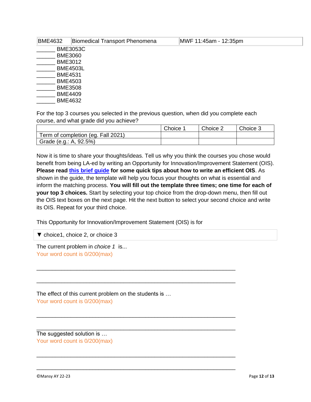|                 | <b>BME4632</b>  | <b>Biomedical Transport Phenomena</b> | MWF 11:45am - 12:35pm |  |  |  |
|-----------------|-----------------|---------------------------------------|-----------------------|--|--|--|
|                 | <b>BME3053C</b> |                                       |                       |  |  |  |
|                 | <b>BME3060</b>  |                                       |                       |  |  |  |
| <b>BME3012</b>  |                 |                                       |                       |  |  |  |
| <b>BME4503L</b> |                 |                                       |                       |  |  |  |
|                 | <b>BME4531</b>  |                                       |                       |  |  |  |
| <b>BME4503</b>  |                 |                                       |                       |  |  |  |
|                 | <b>BME3508</b>  |                                       |                       |  |  |  |
|                 | <b>BME4409</b>  |                                       |                       |  |  |  |
|                 | <b>BME4632</b>  |                                       |                       |  |  |  |
|                 |                 |                                       |                       |  |  |  |

For the top 3 courses you selected in the previous question, when did you complete each course, and what grade did you achieve?

|                                    | Choice | Choice 2 | Choice 3 |
|------------------------------------|--------|----------|----------|
| Term of completion (eg. Fall 2021) |        |          |          |
| Grade (e.g.: A, 92.5%)             |        |          |          |

Now it is time to share your thoughts/ideas. Tell us why you think the courses you chose would benefit from being LA-ed by writing an Opportunity for Innovation/Improvement Statement (OIS). **Please read [this brief guide](https://tinyurl.com/53sjewre) for some quick tips about how to write an efficient OIS**. As shown in the guide, the template will help you focus your thoughts on what is essential and inform the matching process. **You will fill out the template three times; one time for each of your top 3 choices.** Start by selecting your top choice from the drop-down menu, then fill out the OIS text boxes on the next page. Hit the next button to select your second choice and write its OIS. Repeat for your third choice.

This Opportunity for Innovation/Improvement Statement (OIS) is for

\_\_\_\_\_\_\_\_\_\_\_\_\_\_\_\_\_\_\_\_\_\_\_\_\_\_\_\_\_\_\_\_\_\_\_\_\_\_\_\_\_\_\_\_\_\_\_\_\_\_\_\_\_\_\_\_\_\_\_\_\_\_\_\_

\_\_\_\_\_\_\_\_\_\_\_\_\_\_\_\_\_\_\_\_\_\_\_\_\_\_\_\_\_\_\_\_\_\_\_\_\_\_\_\_\_\_\_\_\_\_\_\_\_\_\_\_\_\_\_\_\_\_\_\_\_\_\_\_

\_\_\_\_\_\_\_\_\_\_\_\_\_\_\_\_\_\_\_\_\_\_\_\_\_\_\_\_\_\_\_\_\_\_\_\_\_\_\_\_\_\_\_\_\_\_\_\_\_\_\_\_\_\_\_\_\_\_\_\_\_\_\_\_

\_\_\_\_\_\_\_\_\_\_\_\_\_\_\_\_\_\_\_\_\_\_\_\_\_\_\_\_\_\_\_\_\_\_\_\_\_\_\_\_\_\_\_\_\_\_\_\_\_\_\_\_\_\_\_\_\_\_\_\_\_\_\_\_

\_\_\_\_\_\_\_\_\_\_\_\_\_\_\_\_\_\_\_\_\_\_\_\_\_\_\_\_\_\_\_\_\_\_\_\_\_\_\_\_\_\_\_\_\_\_\_\_\_\_\_\_\_\_\_\_\_\_\_\_\_\_\_\_

\_\_\_\_\_\_\_\_\_\_\_\_\_\_\_\_\_\_\_\_\_\_\_\_\_\_\_\_\_\_\_\_\_\_\_\_\_\_\_\_\_\_\_\_\_\_\_\_\_\_\_\_\_\_\_\_\_\_\_\_\_\_\_\_

▼ choice1, choice 2, or choice 3

The current problem in *choice 1* is... Your word count is 0/200(max)

The effect of this current problem on the students is … Your word count is 0/200(max)

The suggested solution is … Your word count is 0/200(max)